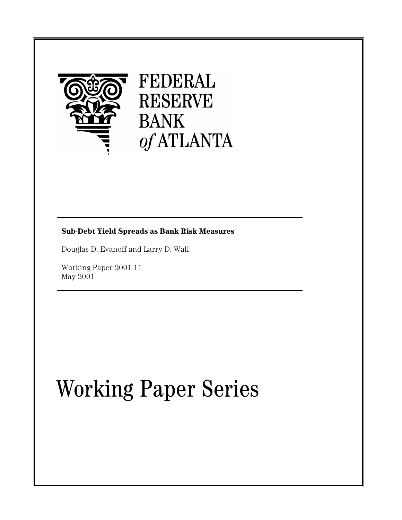

## FEDERAL **RESERVE BANK** of ATLANTA

#### **Sub-Debt Yield Spreads as Bank Risk Measures**

Douglas D. Evanoff and Larry D. Wall

Working Paper 2001-11 May 2001

# Working Paper Series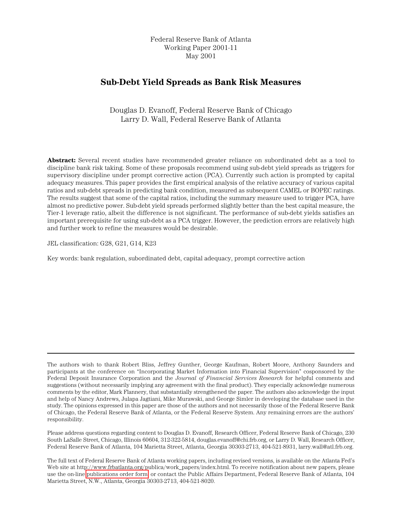Federal Reserve Bank of Atlanta Working Paper 2001-11 May 2001

#### **Sub-Debt Yield Spreads as Bank Risk Measures**

Douglas D. Evanoff, Federal Reserve Bank of Chicago Larry D. Wall, Federal Reserve Bank of Atlanta

**Abstract:** Several recent studies have recommended greater reliance on subordinated debt as a tool to discipline bank risk taking. Some of these proposals recommend using sub-debt yield spreads as triggers for supervisory discipline under prompt corrective action (PCA). Currently such action is prompted by capital adequacy measures. This paper provides the first empirical analysis of the relative accuracy of various capital ratios and sub-debt spreads in predicting bank condition, measured as subsequent CAMEL or BOPEC ratings. The results suggest that some of the capital ratios, including the summary measure used to trigger PCA, have almost no predictive power. Sub-debt yield spreads performed slightly better than the best capital measure, the Tier-1 leverage ratio, albeit the difference is not significant. The performance of sub-debt yields satisfies an important prerequisite for using sub-debt as a PCA trigger. However, the prediction errors are relatively high and further work to refine the measures would be desirable.

JEL classification: G28, G21, G14, K23

Key words: bank regulation, subordinated debt, capital adequacy, prompt corrective action

Please address questions regarding content to Douglas D. Evanoff, Research Officer, Federal Reserve Bank of Chicago, 230 South LaSalle Street, Chicago, Illinois 60604, 312-322-5814, douglas.evanoff@chi.frb.org, or Larry D. Wall, Research Officer, Federal Reserve Bank of Atlanta, 104 Marietta Street, Atlanta, Georgia 30303-2713, 404-521-8931, larry.wall@atl.frb.org.

The full text of Federal Reserve Bank of Atlanta working papers, including revised versions, is available on the Atlanta Fed's Web site at http://www.frbatlanta.org/publica/work\_papers/index.html. To receive notification about new papers, please use the on-line [publications order form,](http://www.frbatlanta.org/publica/ordform.htm) or contact the Public Affairs Department, Federal Reserve Bank of Atlanta, 104 Marietta Street, N.W., Atlanta, Georgia 30303-2713, 404-521-8020.

The authors wish to thank Robert Bliss, Jeffrey Gunther, George Kaufman, Robert Moore, Anthony Saunders and participants at the conference on "Incorporating Market Information into Financial Supervision" cosponsored by the Federal Deposit Insurance Corporation and the *Journal of Financial Services Research* for helpful comments and suggestions (without necessarily implying any agreement with the final product). They especially acknowledge numerous comments by the editor, Mark Flannery, that substantially strengthened the paper. The authors also acknowledge the input and help of Nancy Andrews, Julapa Jagtiani, Mike Murawski, and George Simler in developing the database used in the study. The opinions expressed in this paper are those of the authors and not necessarily those of the Federal Reserve Bank of Chicago, the Federal Reserve Bank of Atlanta, or the Federal Reserve System. Any remaining errors are the authors' responsibility.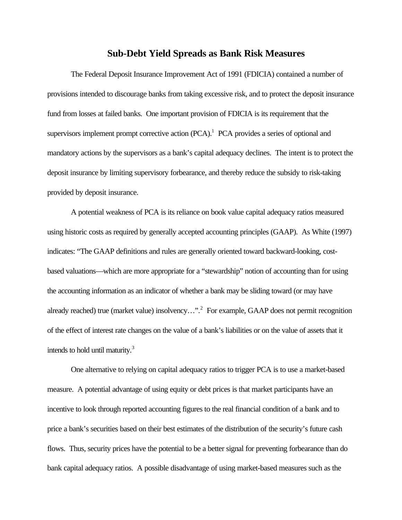#### **Sub-Debt Yield Spreads as Bank Risk Measures**

The Federal Deposit Insurance Improvement Act of 1991 (FDICIA) contained a number of provisions intended to discourage banks from taking excessive risk, and to protect the deposit insurance fund from losses at failed banks. One important provision of FDICIA is its requirement that the supervisors implement prompt corrective action  $(PCA)^1$ .  $PCA$  provides a series of optional and mandatory actions by the supervisors as a bank's capital adequacy declines. The intent is to protect the deposit insurance by limiting supervisory forbearance, and thereby reduce the subsidy to risk-taking provided by deposit insurance.

A potential weakness of PCA is its reliance on book value capital adequacy ratios measured using historic costs as required by generally accepted accounting principles (GAAP). As White (1997) indicates: "The GAAP definitions and rules are generally oriented toward backward-looking, costbased valuations—which are more appropriate for a "stewardship" notion of accounting than for using the accounting information as an indicator of whether a bank may be sliding toward (or may have already reached) true (market value) insolvency...".<sup>2</sup> For example, GAAP does not permit recognition of the effect of interest rate changes on the value of a bank's liabilities or on the value of assets that it intends to hold until maturity.<sup>3</sup>

One alternative to relying on capital adequacy ratios to trigger PCA is to use a market-based measure. A potential advantage of using equity or debt prices is that market participants have an incentive to look through reported accounting figures to the real financial condition of a bank and to price a bank's securities based on their best estimates of the distribution of the security's future cash flows. Thus, security prices have the potential to be a better signal for preventing forbearance than do bank capital adequacy ratios. A possible disadvantage of using market-based measures such as the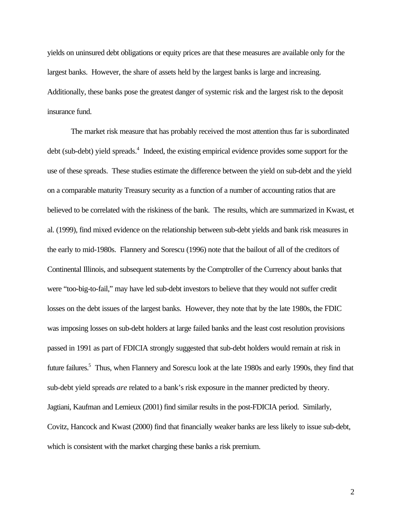yields on uninsured debt obligations or equity prices are that these measures are available only for the largest banks. However, the share of assets held by the largest banks is large and increasing. Additionally, these banks pose the greatest danger of systemic risk and the largest risk to the deposit insurance fund.

The market risk measure that has probably received the most attention thus far is subordinated debt (sub-debt) yield spreads.<sup>4</sup> Indeed, the existing empirical evidence provides some support for the use of these spreads. These studies estimate the difference between the yield on sub-debt and the yield on a comparable maturity Treasury security as a function of a number of accounting ratios that are believed to be correlated with the riskiness of the bank. The results, which are summarized in Kwast, et al. (1999), find mixed evidence on the relationship between sub-debt yields and bank risk measures in the early to mid-1980s. Flannery and Sorescu (1996) note that the bailout of all of the creditors of Continental Illinois, and subsequent statements by the Comptroller of the Currency about banks that were "too-big-to-fail," may have led sub-debt investors to believe that they would not suffer credit losses on the debt issues of the largest banks. However, they note that by the late 1980s, the FDIC was imposing losses on sub-debt holders at large failed banks and the least cost resolution provisions passed in 1991 as part of FDICIA strongly suggested that sub-debt holders would remain at risk in future failures.<sup>5</sup> Thus, when Flannery and Sorescu look at the late 1980s and early 1990s, they find that sub-debt yield spreads *are* related to a bank's risk exposure in the manner predicted by theory. Jagtiani, Kaufman and Lemieux (2001) find similar results in the post-FDICIA period. Similarly, Covitz, Hancock and Kwast (2000) find that financially weaker banks are less likely to issue sub-debt, which is consistent with the market charging these banks a risk premium.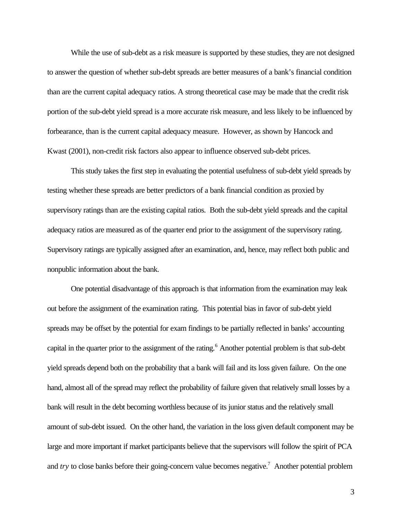While the use of sub-debt as a risk measure is supported by these studies, they are not designed to answer the question of whether sub-debt spreads are better measures of a bank's financial condition than are the current capital adequacy ratios. A strong theoretical case may be made that the credit risk portion of the sub-debt yield spread is a more accurate risk measure, and less likely to be influenced by forbearance, than is the current capital adequacy measure. However, as shown by Hancock and Kwast (2001), non-credit risk factors also appear to influence observed sub-debt prices.

This study takes the first step in evaluating the potential usefulness of sub-debt yield spreads by testing whether these spreads are better predictors of a bank financial condition as proxied by supervisory ratings than are the existing capital ratios. Both the sub-debt yield spreads and the capital adequacy ratios are measured as of the quarter end prior to the assignment of the supervisory rating. Supervisory ratings are typically assigned after an examination, and, hence, may reflect both public and nonpublic information about the bank.

One potential disadvantage of this approach is that information from the examination may leak out before the assignment of the examination rating. This potential bias in favor of sub-debt yield spreads may be offset by the potential for exam findings to be partially reflected in banks' accounting capital in the quarter prior to the assignment of the rating.<sup>6</sup> Another potential problem is that sub-debt yield spreads depend both on the probability that a bank will fail and its loss given failure. On the one hand, almost all of the spread may reflect the probability of failure given that relatively small losses by a bank will result in the debt becoming worthless because of its junior status and the relatively small amount of sub-debt issued. On the other hand, the variation in the loss given default component may be large and more important if market participants believe that the supervisors will follow the spirit of PCA and *try* to close banks before their going-concern value becomes negative.<sup>7</sup> Another potential problem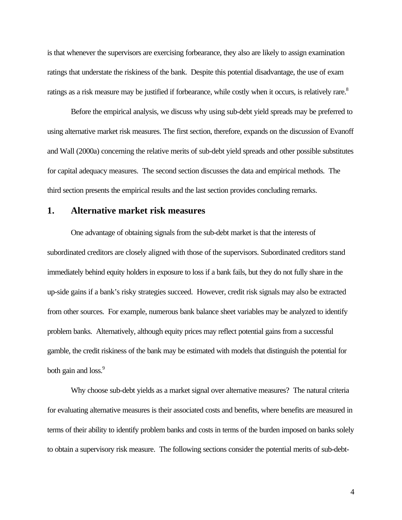is that whenever the supervisors are exercising forbearance, they also are likely to assign examination ratings that understate the riskiness of the bank. Despite this potential disadvantage, the use of exam ratings as a risk measure may be justified if forbearance, while costly when it occurs, is relatively rare.<sup>8</sup>

Before the empirical analysis, we discuss why using sub-debt yield spreads may be preferred to using alternative market risk measures. The first section, therefore, expands on the discussion of Evanoff and Wall (2000a) concerning the relative merits of sub-debt yield spreads and other possible substitutes for capital adequacy measures. The second section discusses the data and empirical methods. The third section presents the empirical results and the last section provides concluding remarks.

#### **1. Alternative market risk measures**

One advantage of obtaining signals from the sub-debt market is that the interests of subordinated creditors are closely aligned with those of the supervisors. Subordinated creditors stand immediately behind equity holders in exposure to loss if a bank fails, but they do not fully share in the up-side gains if a bank's risky strategies succeed. However, credit risk signals may also be extracted from other sources. For example, numerous bank balance sheet variables may be analyzed to identify problem banks. Alternatively, although equity prices may reflect potential gains from a successful gamble, the credit riskiness of the bank may be estimated with models that distinguish the potential for both gain and loss.<sup>9</sup>

Why choose sub-debt yields as a market signal over alternative measures? The natural criteria for evaluating alternative measures is their associated costs and benefits, where benefits are measured in terms of their ability to identify problem banks and costs in terms of the burden imposed on banks solely to obtain a supervisory risk measure. The following sections consider the potential merits of sub-debt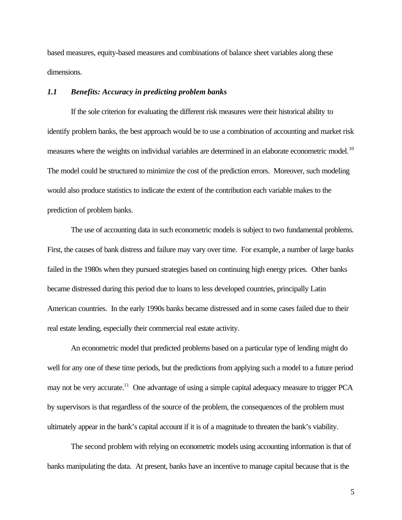based measures, equity-based measures and combinations of balance sheet variables along these dimensions.

#### *1.1 Benefits: Accuracy in predicting problem banks*

If the sole criterion for evaluating the different risk measures were their historical ability to identify problem banks, the best approach would be to use a combination of accounting and market risk measures where the weights on individual variables are determined in an elaborate econometric model.<sup>10</sup> The model could be structured to minimize the cost of the prediction errors. Moreover, such modeling would also produce statistics to indicate the extent of the contribution each variable makes to the prediction of problem banks.

The use of accounting data in such econometric models is subject to two fundamental problems. First, the causes of bank distress and failure may vary over time. For example, a number of large banks failed in the 1980s when they pursued strategies based on continuing high energy prices. Other banks became distressed during this period due to loans to less developed countries, principally Latin American countries. In the early 1990s banks became distressed and in some cases failed due to their real estate lending, especially their commercial real estate activity.

An econometric model that predicted problems based on a particular type of lending might do well for any one of these time periods, but the predictions from applying such a model to a future period may not be very accurate.<sup>11</sup> One advantage of using a simple capital adequacy measure to trigger PCA by supervisors is that regardless of the source of the problem, the consequences of the problem must ultimately appear in the bank's capital account if it is of a magnitude to threaten the bank's viability.

The second problem with relying on econometric models using accounting information is that of banks manipulating the data. At present, banks have an incentive to manage capital because that is the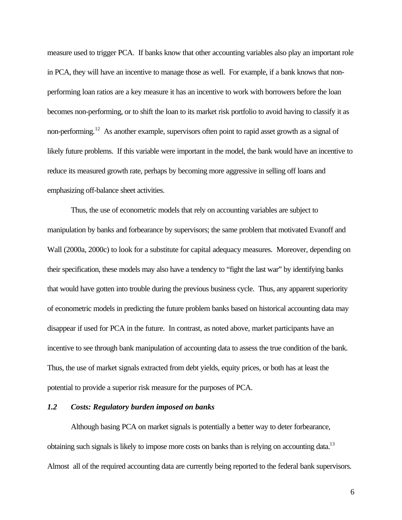measure used to trigger PCA. If banks know that other accounting variables also play an important role in PCA, they will have an incentive to manage those as well. For example, if a bank knows that nonperforming loan ratios are a key measure it has an incentive to work with borrowers before the loan becomes non-performing, or to shift the loan to its market risk portfolio to avoid having to classify it as non-performing.<sup>12</sup> As another example, supervisors often point to rapid asset growth as a signal of likely future problems. If this variable were important in the model, the bank would have an incentive to reduce its measured growth rate, perhaps by becoming more aggressive in selling off loans and emphasizing off-balance sheet activities.

Thus, the use of econometric models that rely on accounting variables are subject to manipulation by banks and forbearance by supervisors; the same problem that motivated Evanoff and Wall (2000a, 2000c) to look for a substitute for capital adequacy measures. Moreover, depending on their specification, these models may also have a tendency to "fight the last war" by identifying banks that would have gotten into trouble during the previous business cycle. Thus, any apparent superiority of econometric models in predicting the future problem banks based on historical accounting data may disappear if used for PCA in the future. In contrast, as noted above, market participants have an incentive to see through bank manipulation of accounting data to assess the true condition of the bank. Thus, the use of market signals extracted from debt yields, equity prices, or both has at least the potential to provide a superior risk measure for the purposes of PCA.

#### *1.2 Costs: Regulatory burden imposed on banks*

Although basing PCA on market signals is potentially a better way to deter forbearance, obtaining such signals is likely to impose more costs on banks than is relying on accounting data.<sup>13</sup> Almost all of the required accounting data are currently being reported to the federal bank supervisors.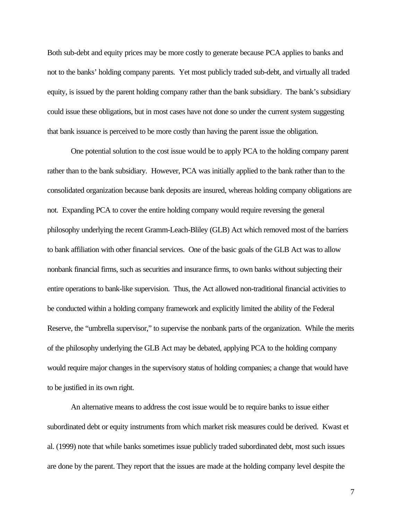Both sub-debt and equity prices may be more costly to generate because PCA applies to banks and not to the banks' holding company parents. Yet most publicly traded sub-debt, and virtually all traded equity, is issued by the parent holding company rather than the bank subsidiary. The bank's subsidiary could issue these obligations, but in most cases have not done so under the current system suggesting that bank issuance is perceived to be more costly than having the parent issue the obligation.

One potential solution to the cost issue would be to apply PCA to the holding company parent rather than to the bank subsidiary. However, PCA was initially applied to the bank rather than to the consolidated organization because bank deposits are insured, whereas holding company obligations are not. Expanding PCA to cover the entire holding company would require reversing the general philosophy underlying the recent Gramm-Leach-Bliley (GLB) Act which removed most of the barriers to bank affiliation with other financial services. One of the basic goals of the GLB Act was to allow nonbank financial firms, such as securities and insurance firms, to own banks without subjecting their entire operations to bank-like supervision. Thus, the Act allowed non-traditional financial activities to be conducted within a holding company framework and explicitly limited the ability of the Federal Reserve, the "umbrella supervisor," to supervise the nonbank parts of the organization. While the merits of the philosophy underlying the GLB Act may be debated, applying PCA to the holding company would require major changes in the supervisory status of holding companies; a change that would have to be justified in its own right.

An alternative means to address the cost issue would be to require banks to issue either subordinated debt or equity instruments from which market risk measures could be derived. Kwast et al. (1999) note that while banks sometimes issue publicly traded subordinated debt, most such issues are done by the parent. They report that the issues are made at the holding company level despite the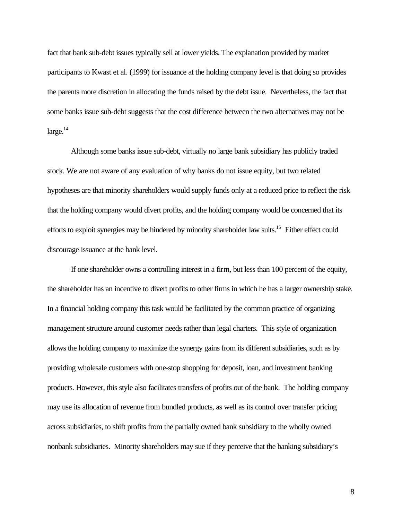fact that bank sub-debt issues typically sell at lower yields. The explanation provided by market participants to Kwast et al. (1999) for issuance at the holding company level is that doing so provides the parents more discretion in allocating the funds raised by the debt issue. Nevertheless, the fact that some banks issue sub-debt suggests that the cost difference between the two alternatives may not be  $\text{large.}^{14}$ 

Although some banks issue sub-debt, virtually no large bank subsidiary has publicly traded stock. We are not aware of any evaluation of why banks do not issue equity, but two related hypotheses are that minority shareholders would supply funds only at a reduced price to reflect the risk that the holding company would divert profits, and the holding company would be concerned that its efforts to exploit synergies may be hindered by minority shareholder law suits.<sup>15</sup> Either effect could discourage issuance at the bank level.

If one shareholder owns a controlling interest in a firm, but less than 100 percent of the equity, the shareholder has an incentive to divert profits to other firms in which he has a larger ownership stake. In a financial holding company this task would be facilitated by the common practice of organizing management structure around customer needs rather than legal charters. This style of organization allows the holding company to maximize the synergy gains from its different subsidiaries, such as by providing wholesale customers with one-stop shopping for deposit, loan, and investment banking products. However, this style also facilitates transfers of profits out of the bank. The holding company may use its allocation of revenue from bundled products, as well as its control over transfer pricing across subsidiaries, to shift profits from the partially owned bank subsidiary to the wholly owned nonbank subsidiaries. Minority shareholders may sue if they perceive that the banking subsidiary's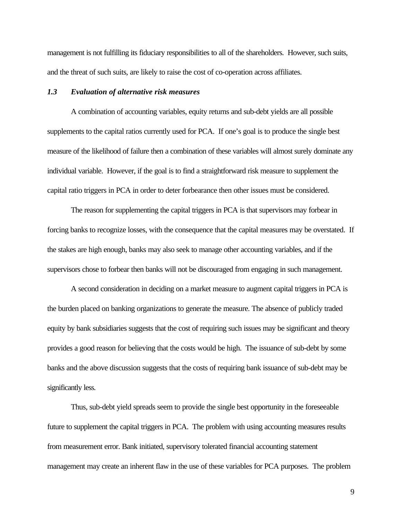management is not fulfilling its fiduciary responsibilities to all of the shareholders. However, such suits, and the threat of such suits, are likely to raise the cost of co-operation across affiliates.

#### *1.3 Evaluation of alternative risk measures*

A combination of accounting variables, equity returns and sub-debt yields are all possible supplements to the capital ratios currently used for PCA. If one's goal is to produce the single best measure of the likelihood of failure then a combination of these variables will almost surely dominate any individual variable. However, if the goal is to find a straightforward risk measure to supplement the capital ratio triggers in PCA in order to deter forbearance then other issues must be considered.

The reason for supplementing the capital triggers in PCA is that supervisors may forbear in forcing banks to recognize losses, with the consequence that the capital measures may be overstated. If the stakes are high enough, banks may also seek to manage other accounting variables, and if the supervisors chose to forbear then banks will not be discouraged from engaging in such management.

A second consideration in deciding on a market measure to augment capital triggers in PCA is the burden placed on banking organizations to generate the measure. The absence of publicly traded equity by bank subsidiaries suggests that the cost of requiring such issues may be significant and theory provides a good reason for believing that the costs would be high. The issuance of sub-debt by some banks and the above discussion suggests that the costs of requiring bank issuance of sub-debt may be significantly less.

Thus, sub-debt yield spreads seem to provide the single best opportunity in the foreseeable future to supplement the capital triggers in PCA. The problem with using accounting measures results from measurement error. Bank initiated, supervisory tolerated financial accounting statement management may create an inherent flaw in the use of these variables for PCA purposes. The problem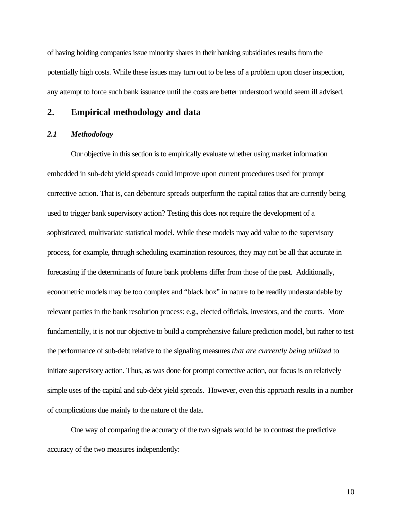of having holding companies issue minority shares in their banking subsidiaries results from the potentially high costs. While these issues may turn out to be less of a problem upon closer inspection, any attempt to force such bank issuance until the costs are better understood would seem ill advised.

#### **2. Empirical methodology and data**

#### *2.1 Methodology*

Our objective in this section is to empirically evaluate whether using market information embedded in sub-debt yield spreads could improve upon current procedures used for prompt corrective action. That is, can debenture spreads outperform the capital ratios that are currently being used to trigger bank supervisory action? Testing this does not require the development of a sophisticated, multivariate statistical model. While these models may add value to the supervisory process, for example, through scheduling examination resources, they may not be all that accurate in forecasting if the determinants of future bank problems differ from those of the past. Additionally, econometric models may be too complex and "black box" in nature to be readily understandable by relevant parties in the bank resolution process: e.g., elected officials, investors, and the courts. More fundamentally, it is not our objective to build a comprehensive failure prediction model, but rather to test the performance of sub-debt relative to the signaling measures *that are currently being utilized* to initiate supervisory action. Thus, as was done for prompt corrective action, our focus is on relatively simple uses of the capital and sub-debt yield spreads. However, even this approach results in a number of complications due mainly to the nature of the data.

One way of comparing the accuracy of the two signals would be to contrast the predictive accuracy of the two measures independently: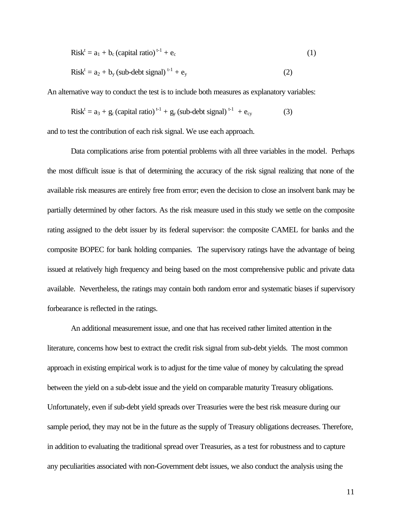$$
Riskt = a1 + bc (capital ratio)t-1 + ec
$$
 (1)

$$
Riskt = a2 + by (sub-debt signal)t-1 + ey
$$
 (2)

An alternative way to conduct the test is to include both measures as explanatory variables:

Risk<sup>t</sup> = 
$$
a_3 + g_c
$$
 (capital ratio)<sup>t-1</sup> +  $g_y$  (sub-debt signal)<sup>t-1</sup> +  $e_{cy}$  (3)

and to test the contribution of each risk signal. We use each approach.

Data complications arise from potential problems with all three variables in the model. Perhaps the most difficult issue is that of determining the accuracy of the risk signal realizing that none of the available risk measures are entirely free from error; even the decision to close an insolvent bank may be partially determined by other factors. As the risk measure used in this study we settle on the composite rating assigned to the debt issuer by its federal supervisor: the composite CAMEL for banks and the composite BOPEC for bank holding companies. The supervisory ratings have the advantage of being issued at relatively high frequency and being based on the most comprehensive public and private data available. Nevertheless, the ratings may contain both random error and systematic biases if supervisory forbearance is reflected in the ratings.

An additional measurement issue, and one that has received rather limited attention in the literature, concerns how best to extract the credit risk signal from sub-debt yields. The most common approach in existing empirical work is to adjust for the time value of money by calculating the spread between the yield on a sub-debt issue and the yield on comparable maturity Treasury obligations. Unfortunately, even if sub-debt yield spreads over Treasuries were the best risk measure during our sample period, they may not be in the future as the supply of Treasury obligations decreases. Therefore, in addition to evaluating the traditional spread over Treasuries, as a test for robustness and to capture any peculiarities associated with non-Government debt issues, we also conduct the analysis using the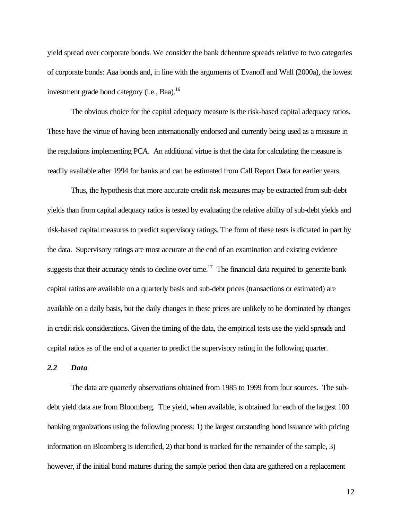yield spread over corporate bonds. We consider the bank debenture spreads relative to two categories of corporate bonds: Aaa bonds and, in line with the arguments of Evanoff and Wall (2000a), the lowest investment grade bond category (i.e., Baa).<sup>16</sup>

The obvious choice for the capital adequacy measure is the risk-based capital adequacy ratios. These have the virtue of having been internationally endorsed and currently being used as a measure in the regulations implementing PCA. An additional virtue is that the data for calculating the measure is readily available after 1994 for banks and can be estimated from Call Report Data for earlier years.

Thus, the hypothesis that more accurate credit risk measures may be extracted from sub-debt yields than from capital adequacy ratios is tested by evaluating the relative ability of sub-debt yields and risk-based capital measures to predict supervisory ratings. The form of these tests is dictated in part by the data. Supervisory ratings are most accurate at the end of an examination and existing evidence suggests that their accuracy tends to decline over time.<sup>17</sup> The financial data required to generate bank capital ratios are available on a quarterly basis and sub-debt prices (transactions or estimated) are available on a daily basis, but the daily changes in these prices are unlikely to be dominated by changes in credit risk considerations. Given the timing of the data, the empirical tests use the yield spreads and capital ratios as of the end of a quarter to predict the supervisory rating in the following quarter.

#### *2.2 Data*

The data are quarterly observations obtained from 1985 to 1999 from four sources. The subdebt yield data are from Bloomberg. The yield, when available, is obtained for each of the largest 100 banking organizations using the following process: 1) the largest outstanding bond issuance with pricing information on Bloomberg is identified, 2) that bond is tracked for the remainder of the sample, 3) however, if the initial bond matures during the sample period then data are gathered on a replacement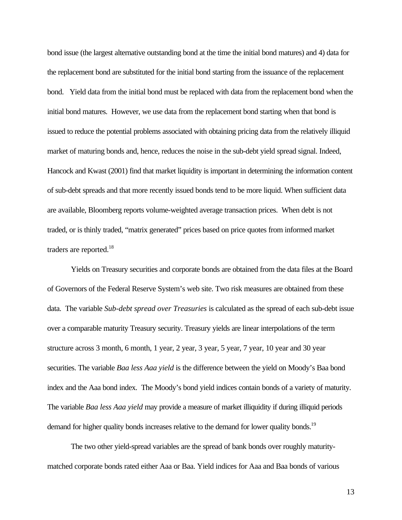bond issue (the largest alternative outstanding bond at the time the initial bond matures) and 4) data for the replacement bond are substituted for the initial bond starting from the issuance of the replacement bond. Yield data from the initial bond must be replaced with data from the replacement bond when the initial bond matures. However, we use data from the replacement bond starting when that bond is issued to reduce the potential problems associated with obtaining pricing data from the relatively illiquid market of maturing bonds and, hence, reduces the noise in the sub-debt yield spread signal. Indeed, Hancock and Kwast (2001) find that market liquidity is important in determining the information content of sub-debt spreads and that more recently issued bonds tend to be more liquid. When sufficient data are available, Bloomberg reports volume-weighted average transaction prices. When debt is not traded, or is thinly traded, "matrix generated" prices based on price quotes from informed market traders are reported.<sup>18</sup>

Yields on Treasury securities and corporate bonds are obtained from the data files at the Board of Governors of the Federal Reserve System's web site. Two risk measures are obtained from these data. The variable *Sub-debt spread over Treasuries* is calculated as the spread of each sub-debt issue over a comparable maturity Treasury security. Treasury yields are linear interpolations of the term structure across 3 month, 6 month, 1 year, 2 year, 3 year, 5 year, 7 year, 10 year and 30 year securities. The variable *Baa less Aaa yield* is the difference between the yield on Moody's Baa bond index and the Aaa bond index. The Moody's bond yield indices contain bonds of a variety of maturity. The variable *Baa less Aaa yield* may provide a measure of market illiquidity if during illiquid periods demand for higher quality bonds increases relative to the demand for lower quality bonds.<sup>19</sup>

The two other yield-spread variables are the spread of bank bonds over roughly maturitymatched corporate bonds rated either Aaa or Baa. Yield indices for Aaa and Baa bonds of various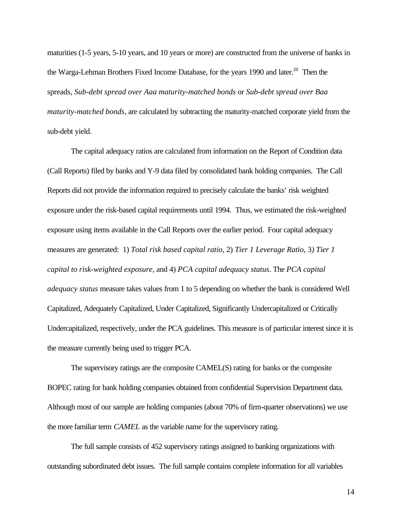maturities (1-5 years, 5-10 years, and 10 years or more) are constructed from the universe of banks in the Warga-Lehman Brothers Fixed Income Database, for the years 1990 and later.<sup>20</sup> Then the spreads, *Sub-debt spread over Aaa maturity-matched bonds* or *Sub-debt spread over Baa maturity-matched bonds*, are calculated by subtracting the maturity-matched corporate yield from the sub-debt yield.

The capital adequacy ratios are calculated from information on the Report of Condition data (Call Reports) filed by banks and Y-9 data filed by consolidated bank holding companies. The Call Reports did not provide the information required to precisely calculate the banks' risk weighted exposure under the risk-based capital requirements until 1994. Thus, we estimated the risk-weighted exposure using items available in the Call Reports over the earlier period. Four capital adequacy measures are generated: 1) *Total risk based capital ratio*, 2) *Tier 1 Leverage Ratio*, 3*) Tier 1 capital to risk-weighted exposure*, and 4) *PCA capital adequacy status*. The *PCA capital adequacy status* measure takes values from 1 to 5 depending on whether the bank is considered Well Capitalized, Adequately Capitalized, Under Capitalized, Significantly Undercapitalized or Critically Undercapitalized, respectively, under the PCA guidelines. This measure is of particular interest since it is the measure currently being used to trigger PCA.

The supervisory ratings are the composite CAMEL(S) rating for banks or the composite BOPEC rating for bank holding companies obtained from confidential Supervision Department data. Although most of our sample are holding companies (about 70% of firm-quarter observations) we use the more familiar term *CAMEL* as the variable name for the supervisory rating.

The full sample consists of 452 supervisory ratings assigned to banking organizations with outstanding subordinated debt issues. The full sample contains complete information for all variables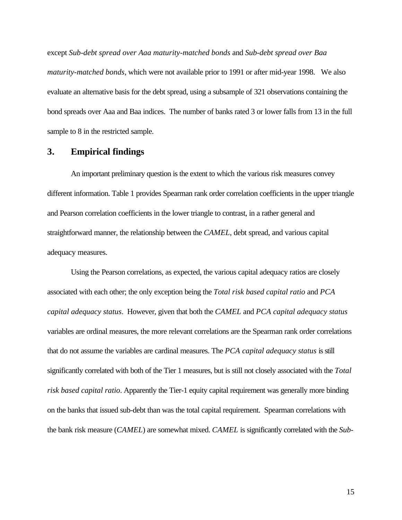except *Sub-debt spread over Aaa maturity-matched bonds* and *Sub-debt spread over Baa maturity-matched bonds*, which were not available prior to 1991 or after mid-year 1998. We also evaluate an alternative basis for the debt spread, using a subsample of 321 observations containing the bond spreads over Aaa and Baa indices. The number of banks rated 3 or lower falls from 13 in the full sample to 8 in the restricted sample.

#### **3. Empirical findings**

An important preliminary question is the extent to which the various risk measures convey different information. Table 1 provides Spearman rank order correlation coefficients in the upper triangle and Pearson correlation coefficients in the lower triangle to contrast, in a rather general and straightforward manner, the relationship between the *CAMEL*, debt spread, and various capital adequacy measures.

Using the Pearson correlations, as expected, the various capital adequacy ratios are closely associated with each other; the only exception being the *Total risk based capital ratio* and *PCA capital adequacy status*. However, given that both the *CAMEL* and *PCA capital adequacy status* variables are ordinal measures, the more relevant correlations are the Spearman rank order correlations that do not assume the variables are cardinal measures. The *PCA capital adequacy status* is still significantly correlated with both of the Tier 1 measures, but is still not closely associated with the *Total risk based capital ratio*. Apparently the Tier-1 equity capital requirement was generally more binding on the banks that issued sub-debt than was the total capital requirement. Spearman correlations with the bank risk measure (*CAMEL*) are somewhat mixed. *CAMEL* is significantly correlated with the *Sub-*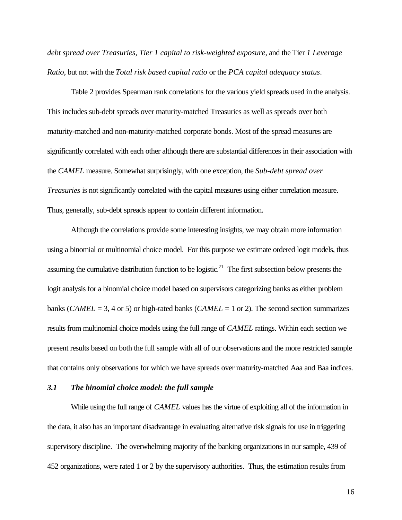*debt spread over Treasuries*, *Tier 1 capital to risk-weighted exposure*, and the Tier *1 Leverage Ratio*, but not with the *Total risk based capital ratio* or the *PCA capital adequacy status*.

Table 2 provides Spearman rank correlations for the various yield spreads used in the analysis. This includes sub-debt spreads over maturity-matched Treasuries as well as spreads over both maturity-matched and non-maturity-matched corporate bonds. Most of the spread measures are significantly correlated with each other although there are substantial differences in their association with the *CAMEL* measure. Somewhat surprisingly, with one exception, the *Sub-debt spread over Treasuries* is not significantly correlated with the capital measures using either correlation measure. Thus, generally, sub-debt spreads appear to contain different information.

Although the correlations provide some interesting insights, we may obtain more information using a binomial or multinomial choice model. For this purpose we estimate ordered logit models, thus assuming the cumulative distribution function to be logistic.<sup>21</sup> The first subsection below presents the logit analysis for a binomial choice model based on supervisors categorizing banks as either problem banks (*CAMEL* = 3, 4 or 5) or high-rated banks (*CAMEL* = 1 or 2). The second section summarizes results from multinomial choice models using the full range of *CAMEL* ratings. Within each section we present results based on both the full sample with all of our observations and the more restricted sample that contains only observations for which we have spreads over maturity-matched Aaa and Baa indices.

#### *3.1 The binomial choice model: the full sample*

While using the full range of *CAMEL* values has the virtue of exploiting all of the information in the data, it also has an important disadvantage in evaluating alternative risk signals for use in triggering supervisory discipline. The overwhelming majority of the banking organizations in our sample, 439 of 452 organizations, were rated 1 or 2 by the supervisory authorities. Thus, the estimation results from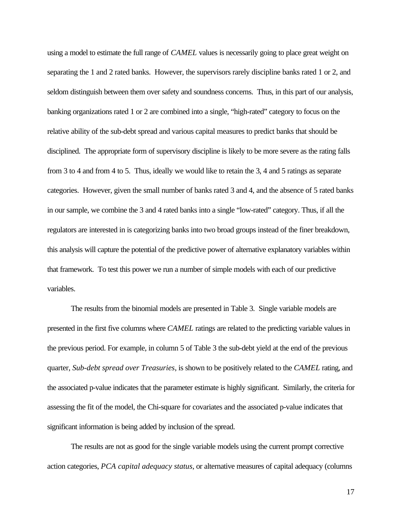using a model to estimate the full range of *CAMEL* values is necessarily going to place great weight on separating the 1 and 2 rated banks. However, the supervisors rarely discipline banks rated 1 or 2, and seldom distinguish between them over safety and soundness concerns. Thus, in this part of our analysis, banking organizations rated 1 or 2 are combined into a single, "high-rated" category to focus on the relative ability of the sub-debt spread and various capital measures to predict banks that should be disciplined. The appropriate form of supervisory discipline is likely to be more severe as the rating falls from 3 to 4 and from 4 to 5. Thus, ideally we would like to retain the 3, 4 and 5 ratings as separate categories. However, given the small number of banks rated 3 and 4, and the absence of 5 rated banks in our sample, we combine the 3 and 4 rated banks into a single "low-rated" category. Thus, if all the regulators are interested in is categorizing banks into two broad groups instead of the finer breakdown, this analysis will capture the potential of the predictive power of alternative explanatory variables within that framework. To test this power we run a number of simple models with each of our predictive variables.

The results from the binomial models are presented in Table 3. Single variable models are presented in the first five columns where *CAMEL* ratings are related to the predicting variable values in the previous period. For example, in column 5 of Table 3 the sub-debt yield at the end of the previous quarter, *Sub-debt spread over Treasuries*, is shown to be positively related to the *CAMEL* rating, and the associated p-value indicates that the parameter estimate is highly significant. Similarly, the criteria for assessing the fit of the model, the Chi-square for covariates and the associated p-value indicates that significant information is being added by inclusion of the spread.

The results are not as good for the single variable models using the current prompt corrective action categories, *PCA capital adequacy status*, or alternative measures of capital adequacy (columns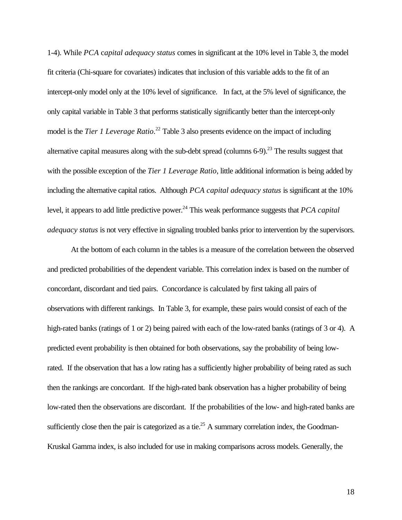1-4). While *PCA* c*apital adequacy status* comes in significant at the 10% level in Table 3, the model fit criteria (Chi-square for covariates) indicates that inclusion of this variable adds to the fit of an intercept-only model only at the 10% level of significance. In fact, at the 5% level of significance, the only capital variable in Table 3 that performs statistically significantly better than the intercept-only model is the *Tier 1 Leverage Ratio*. <sup>22</sup> Table 3 also presents evidence on the impact of including alternative capital measures along with the sub-debt spread (columns  $6-9$ ).<sup>23</sup> The results suggest that with the possible exception of the *Tier 1 Leverage Ratio*, little additional information is being added by including the alternative capital ratios. Although *PCA capital adequacy status* is significant at the 10% level, it appears to add little predictive power.<sup>24</sup> This weak performance suggests that *PCA capital adequacy status* is not very effective in signaling troubled banks prior to intervention by the supervisors.

At the bottom of each column in the tables is a measure of the correlation between the observed and predicted probabilities of the dependent variable. This correlation index is based on the number of concordant, discordant and tied pairs. Concordance is calculated by first taking all pairs of observations with different rankings. In Table 3, for example, these pairs would consist of each of the high-rated banks (ratings of 1 or 2) being paired with each of the low-rated banks (ratings of 3 or 4). A predicted event probability is then obtained for both observations, say the probability of being lowrated. If the observation that has a low rating has a sufficiently higher probability of being rated as such then the rankings are concordant. If the high-rated bank observation has a higher probability of being low-rated then the observations are discordant. If the probabilities of the low- and high-rated banks are sufficiently close then the pair is categorized as a tie.<sup>25</sup> A summary correlation index, the Goodman-Kruskal Gamma index, is also included for use in making comparisons across models. Generally, the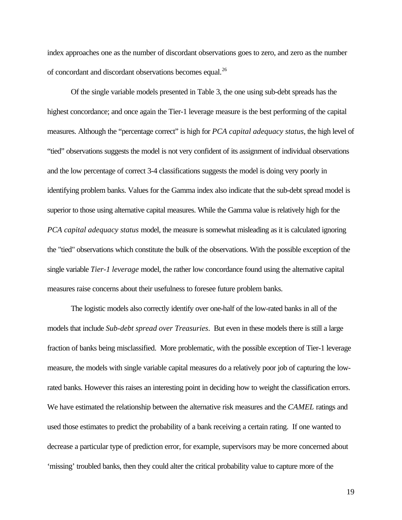index approaches one as the number of discordant observations goes to zero, and zero as the number of concordant and discordant observations becomes equal.<sup>26</sup>

Of the single variable models presented in Table 3, the one using sub-debt spreads has the highest concordance; and once again the Tier-1 leverage measure is the best performing of the capital measures. Although the "percentage correct" is high for *PCA capital adequacy status*, the high level of "tied" observations suggests the model is not very confident of its assignment of individual observations and the low percentage of correct 3-4 classifications suggests the model is doing very poorly in identifying problem banks. Values for the Gamma index also indicate that the sub-debt spread model is superior to those using alternative capital measures. While the Gamma value is relatively high for the *PCA capital adequacy status* model, the measure is somewhat misleading as it is calculated ignoring the "tied" observations which constitute the bulk of the observations. With the possible exception of the single variable *Tier-1 leverage* model, the rather low concordance found using the alternative capital measures raise concerns about their usefulness to foresee future problem banks.

The logistic models also correctly identify over one-half of the low-rated banks in all of the models that include *Sub-debt spread over Treasuries*. But even in these models there is still a large fraction of banks being misclassified. More problematic, with the possible exception of Tier-1 leverage measure, the models with single variable capital measures do a relatively poor job of capturing the lowrated banks. However this raises an interesting point in deciding how to weight the classification errors. We have estimated the relationship between the alternative risk measures and the *CAMEL* ratings and used those estimates to predict the probability of a bank receiving a certain rating. If one wanted to decrease a particular type of prediction error, for example, supervisors may be more concerned about 'missing' troubled banks, then they could alter the critical probability value to capture more of the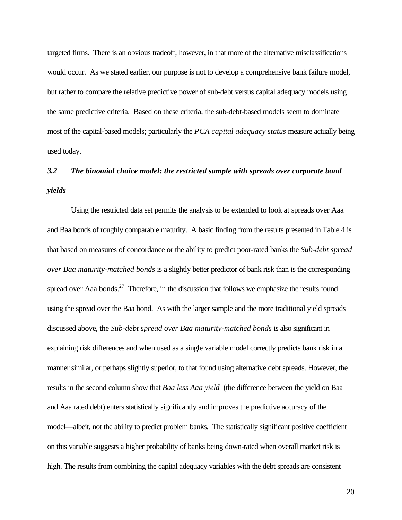targeted firms. There is an obvious tradeoff, however, in that more of the alternative misclassifications would occur. As we stated earlier, our purpose is not to develop a comprehensive bank failure model, but rather to compare the relative predictive power of sub-debt versus capital adequacy models using the same predictive criteria. Based on these criteria, the sub-debt-based models seem to dominate most of the capital-based models; particularly the *PCA capital adequacy status* measure actually being used today.

### *3.2 The binomial choice model: the restricted sample with spreads over corporate bond yields*

Using the restricted data set permits the analysis to be extended to look at spreads over Aaa and Baa bonds of roughly comparable maturity. A basic finding from the results presented in Table 4 is that based on measures of concordance or the ability to predict poor-rated banks the *Sub-debt spread over Baa maturity-matched bonds* is a slightly better predictor of bank risk than is the corresponding spread over Aaa bonds.<sup>27</sup> Therefore, in the discussion that follows we emphasize the results found using the spread over the Baa bond. As with the larger sample and the more traditional yield spreads discussed above, the *Sub-debt spread over Baa maturity-matched bonds* is also significant in explaining risk differences and when used as a single variable model correctly predicts bank risk in a manner similar, or perhaps slightly superior, to that found using alternative debt spreads. However, the results in the second column show that *Baa less Aaa yield* (the difference between the yield on Baa and Aaa rated debt) enters statistically significantly and improves the predictive accuracy of the model—albeit, not the ability to predict problem banks. The statistically significant positive coefficient on this variable suggests a higher probability of banks being down-rated when overall market risk is high. The results from combining the capital adequacy variables with the debt spreads are consistent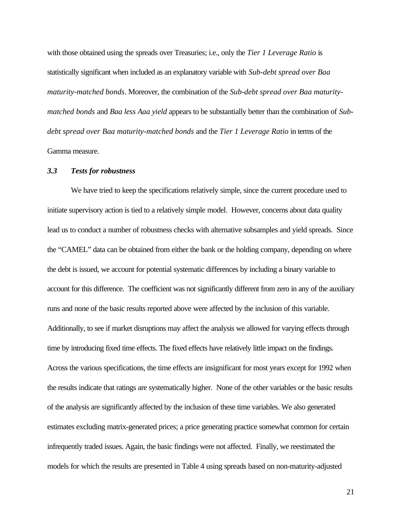with those obtained using the spreads over Treasuries; i.e., only the *Tier 1 Leverage Ratio* is statistically significant when included as an explanatory variable with *Sub-debt spread over Baa maturity-matched bonds*. Moreover, the combination of the *Sub-debt spread over Baa maturitymatched bonds* and *Baa less Aaa yield* appears to be substantially better than the combination of *Subdebt spread over Baa maturity-matched bonds* and the *Tier 1 Leverage Ratio* in terms of the Gamma measure.

#### *3.3 Tests for robustness*

We have tried to keep the specifications relatively simple, since the current procedure used to initiate supervisory action is tied to a relatively simple model. However, concerns about data quality lead us to conduct a number of robustness checks with alternative subsamples and yield spreads. Since the "CAMEL" data can be obtained from either the bank or the holding company, depending on where the debt is issued, we account for potential systematic differences by including a binary variable to account for this difference. The coefficient was not significantly different from zero in any of the auxiliary runs and none of the basic results reported above were affected by the inclusion of this variable. Additionally, to see if market disruptions may affect the analysis we allowed for varying effects through time by introducing fixed time effects. The fixed effects have relatively little impact on the findings. Across the various specifications, the time effects are insignificant for most years except for 1992 when the results indicate that ratings are systematically higher. None of the other variables or the basic results of the analysis are significantly affected by the inclusion of these time variables. We also generated estimates excluding matrix-generated prices; a price generating practice somewhat common for certain infrequently traded issues. Again, the basic findings were not affected. Finally, we reestimated the models for which the results are presented in Table 4 using spreads based on non-maturity-adjusted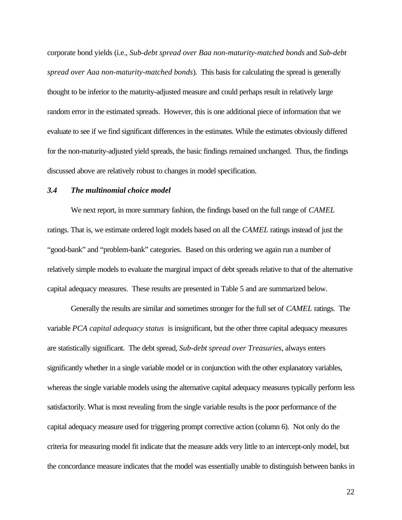corporate bond yields (i.e., *Sub-debt spread over Baa non-maturity-matched bonds* and *Sub-debt spread over Aaa non-maturity-matched bonds*). This basis for calculating the spread is generally thought to be inferior to the maturity-adjusted measure and could perhaps result in relatively large random error in the estimated spreads. However, this is one additional piece of information that we evaluate to see if we find significant differences in the estimates. While the estimates obviously differed for the non-maturity-adjusted yield spreads, the basic findings remained unchanged. Thus, the findings discussed above are relatively robust to changes in model specification.

#### *3.4 The multinomial choice model*

We next report, in more summary fashion, the findings based on the full range of *CAMEL* ratings. That is, we estimate ordered logit models based on all the *CAMEL* ratings instead of just the "good-bank" and "problem-bank" categories. Based on this ordering we again run a number of relatively simple models to evaluate the marginal impact of debt spreads relative to that of the alternative capital adequacy measures. These results are presented in Table 5 and are summarized below.

Generally the results are similar and sometimes stronger for the full set of *CAMEL* ratings. The variable *PCA capital adequacy status* is insignificant, but the other three capital adequacy measures are statistically significant. The debt spread, *Sub-debt spread over Treasuries*, always enters significantly whether in a single variable model or in conjunction with the other explanatory variables, whereas the single variable models using the alternative capital adequacy measures typically perform less satisfactorily. What is most revealing from the single variable results is the poor performance of the capital adequacy measure used for triggering prompt corrective action (column 6). Not only do the criteria for measuring model fit indicate that the measure adds very little to an intercept-only model, but the concordance measure indicates that the model was essentially unable to distinguish between banks in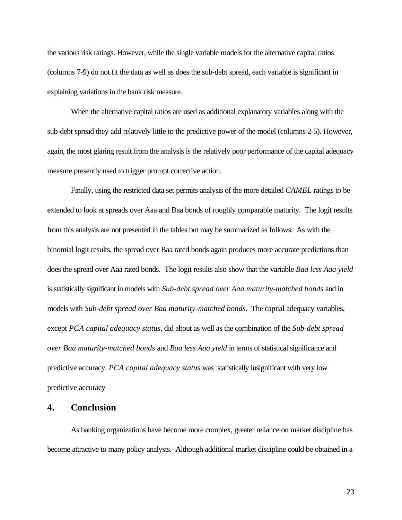the various risk ratings. However, while the single variable models for the alternative capital ratios (columns 7-9) do not fit the data as well as does the sub-debt spread, each variable is significant in explaining variations in the bank risk measure.

When the alternative capital ratios are used as additional explanatory variables along with the sub-debt spread they add relatively little to the predictive power of the model (columns 2-5). However, again, the most glaring result from the analysis is the relatively poor performance of the capital adequacy measure presently used to trigger prompt corrective action.

Finally, using the restricted data set permits analysis of the more detailed *CAMEL* ratings to be extended to look at spreads over Aaa and Baa bonds of roughly comparable maturity. The logit results from this analysis are not presented in the tables but may be summarized as follows. As with the binomial logit results, the spread over Baa rated bonds again produces more accurate predictions than does the spread over Aaa rated bonds. The logit results also show that the variable *Baa less Aaa yield* is statistically significant in models with *Sub-debt spread over Aaa maturity-matched bonds* and in models with *Sub-debt spread over Baa maturity-matched bonds*. The capital adequacy variables, except *PCA capital adequacy status*, did about as well as the combination of the *Sub-debt spread over Baa maturity-matched bonds* and *Baa less Aaa yield* in terms of statistical significance and predictive accuracy. *PCA capital adequacy status* was statistically insignificant with very low predictive accuracy

#### **4. Conclusion**

As banking organizations have become more complex, greater reliance on market discipline has become attractive to many policy analysts. Although additional market discipline could be obtained in a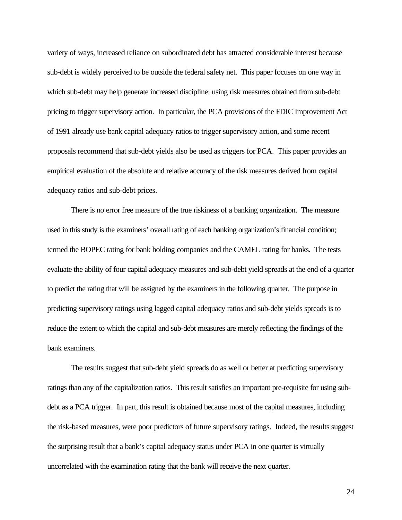variety of ways, increased reliance on subordinated debt has attracted considerable interest because sub-debt is widely perceived to be outside the federal safety net. This paper focuses on one way in which sub-debt may help generate increased discipline: using risk measures obtained from sub-debt pricing to trigger supervisory action. In particular, the PCA provisions of the FDIC Improvement Act of 1991 already use bank capital adequacy ratios to trigger supervisory action, and some recent proposals recommend that sub-debt yields also be used as triggers for PCA. This paper provides an empirical evaluation of the absolute and relative accuracy of the risk measures derived from capital adequacy ratios and sub-debt prices.

There is no error free measure of the true riskiness of a banking organization. The measure used in this study is the examiners' overall rating of each banking organization's financial condition; termed the BOPEC rating for bank holding companies and the CAMEL rating for banks. The tests evaluate the ability of four capital adequacy measures and sub-debt yield spreads at the end of a quarter to predict the rating that will be assigned by the examiners in the following quarter. The purpose in predicting supervisory ratings using lagged capital adequacy ratios and sub-debt yields spreads is to reduce the extent to which the capital and sub-debt measures are merely reflecting the findings of the bank examiners.

The results suggest that sub-debt yield spreads do as well or better at predicting supervisory ratings than any of the capitalization ratios. This result satisfies an important pre-requisite for using subdebt as a PCA trigger. In part, this result is obtained because most of the capital measures, including the risk-based measures, were poor predictors of future supervisory ratings. Indeed, the results suggest the surprising result that a bank's capital adequacy status under PCA in one quarter is virtually uncorrelated with the examination rating that the bank will receive the next quarter.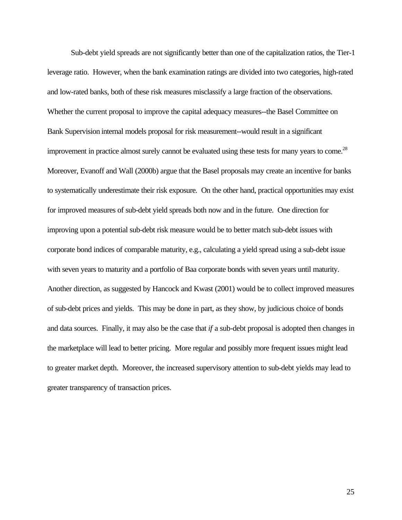Sub-debt yield spreads are not significantly better than one of the capitalization ratios, the Tier-1 leverage ratio. However, when the bank examination ratings are divided into two categories, high-rated and low-rated banks, both of these risk measures misclassify a large fraction of the observations. Whether the current proposal to improve the capital adequacy measures--the Basel Committee on Bank Supervision internal models proposal for risk measurement--would result in a significant improvement in practice almost surely cannot be evaluated using these tests for many years to come.<sup>28</sup> Moreover, Evanoff and Wall (2000b) argue that the Basel proposals may create an incentive for banks to systematically underestimate their risk exposure. On the other hand, practical opportunities may exist for improved measures of sub-debt yield spreads both now and in the future. One direction for improving upon a potential sub-debt risk measure would be to better match sub-debt issues with corporate bond indices of comparable maturity, e.g., calculating a yield spread using a sub-debt issue with seven years to maturity and a portfolio of Baa corporate bonds with seven years until maturity. Another direction, as suggested by Hancock and Kwast (2001) would be to collect improved measures of sub-debt prices and yields. This may be done in part, as they show, by judicious choice of bonds and data sources. Finally, it may also be the case that *if* a sub-debt proposal is adopted then changes in the marketplace will lead to better pricing. More regular and possibly more frequent issues might lead to greater market depth. Moreover, the increased supervisory attention to sub-debt yields may lead to greater transparency of transaction prices.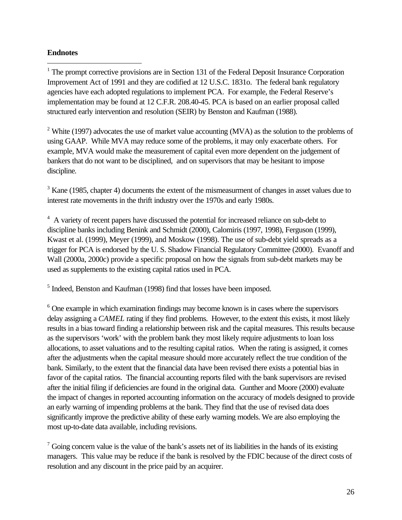#### **Endnotes**

 $\overline{a}$ 

<sup>1</sup> The prompt corrective provisions are in Section 131 of the Federal Deposit Insurance Corporation Improvement Act of 1991 and they are codified at 12 U.S.C. 1831o. The federal bank regulatory agencies have each adopted regulations to implement PCA. For example, the Federal Reserve's implementation may be found at 12 C.F.R. 208.40-45. PCA is based on an earlier proposal called structured early intervention and resolution (SEIR) by Benston and Kaufman (1988).

<sup>2</sup> White (1997) advocates the use of market value accounting (MVA) as the solution to the problems of using GAAP. While MVA may reduce some of the problems, it may only exacerbate others. For example, MVA would make the measurement of capital even more dependent on the judgement of bankers that do not want to be disciplined, and on supervisors that may be hesitant to impose discipline.

 $3$  Kane (1985, chapter 4) documents the extent of the mismeasurment of changes in asset values due to interest rate movements in the thrift industry over the 1970s and early 1980s.

<sup>4</sup> A variety of recent papers have discussed the potential for increased reliance on sub-debt to discipline banks including Benink and Schmidt (2000), Calomiris (1997, 1998), Ferguson (1999), Kwast et al. (1999), Meyer (1999), and Moskow (1998). The use of sub-debt yield spreads as a trigger for PCA is endorsed by the U. S. Shadow Financial Regulatory Committee (2000). Evanoff and Wall (2000a, 2000c) provide a specific proposal on how the signals from sub-debt markets may be used as supplements to the existing capital ratios used in PCA.

<sup>5</sup> Indeed, Benston and Kaufman (1998) find that losses have been imposed.

<sup>6</sup> One example in which examination findings may become known is in cases where the supervisors delay assigning a *CAMEL* rating if they find problems. However, to the extent this exists, it most likely results in a bias toward finding a relationship between risk and the capital measures. This results because as the supervisors 'work' with the problem bank they most likely require adjustments to loan loss allocations, to asset valuations and to the resulting capital ratios. When the rating is assigned, it comes after the adjustments when the capital measure should more accurately reflect the true condition of the bank. Similarly, to the extent that the financial data have been revised there exists a potential bias in favor of the capital ratios. The financial accounting reports filed with the bank supervisors are revised after the initial filing if deficiencies are found in the original data. Gunther and Moore (2000) evaluate the impact of changes in reported accounting information on the accuracy of models designed to provide an early warning of impending problems at the bank. They find that the use of revised data does significantly improve the predictive ability of these early warning models. We are also employing the most up-to-date data available, including revisions.

 $7$  Going concern value is the value of the bank's assets net of its liabilities in the hands of its existing managers. This value may be reduce if the bank is resolved by the FDIC because of the direct costs of resolution and any discount in the price paid by an acquirer.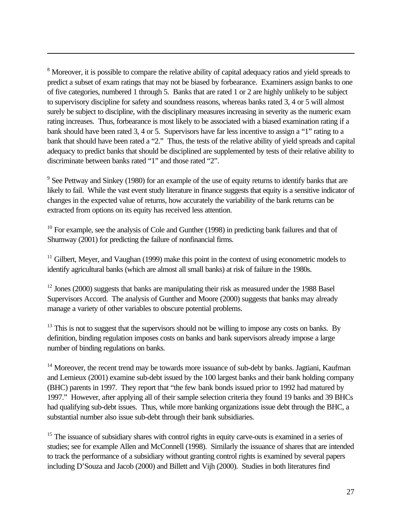<sup>8</sup> Moreover, it is possible to compare the relative ability of capital adequacy ratios and yield spreads to predict a subset of exam ratings that may not be biased by forbearance. Examiners assign banks to one of five categories, numbered 1 through 5. Banks that are rated 1 or 2 are highly unlikely to be subject to supervisory discipline for safety and soundness reasons, whereas banks rated 3, 4 or 5 will almost surely be subject to discipline, with the disciplinary measures increasing in severity as the numeric exam rating increases. Thus, forbearance is most likely to be associated with a biased examination rating if a bank should have been rated 3, 4 or 5. Supervisors have far less incentive to assign a "1" rating to a bank that should have been rated a "2." Thus, the tests of the relative ability of yield spreads and capital adequacy to predict banks that should be disciplined are supplemented by tests of their relative ability to discriminate between banks rated "1" and those rated "2".

 $\overline{a}$ 

<sup>9</sup> See Pettway and Sinkey (1980) for an example of the use of equity returns to identify banks that are likely to fail. While the vast event study literature in finance suggests that equity is a sensitive indicator of changes in the expected value of returns, how accurately the variability of the bank returns can be extracted from options on its equity has received less attention.

 $10$  For example, see the analysis of Cole and Gunther (1998) in predicting bank failures and that of Shumway (2001) for predicting the failure of nonfinancial firms.

 $11$  Gilbert, Meyer, and Vaughan (1999) make this point in the context of using econometric models to identify agricultural banks (which are almost all small banks) at risk of failure in the 1980s.

 $12$  Jones (2000) suggests that banks are manipulating their risk as measured under the 1988 Basel Supervisors Accord. The analysis of Gunther and Moore (2000) suggests that banks may already manage a variety of other variables to obscure potential problems.

 $13$  This is not to suggest that the supervisors should not be willing to impose any costs on banks. By definition, binding regulation imposes costs on banks and bank supervisors already impose a large number of binding regulations on banks.

<sup>14</sup> Moreover, the recent trend may be towards more issuance of sub-debt by banks. Jagtiani, Kaufman and Lemieux (2001) examine sub-debt issued by the 100 largest banks and their bank holding company (BHC) parents in 1997. They report that "the few bank bonds issued prior to 1992 had matured by 1997." However, after applying all of their sample selection criteria they found 19 banks and 39 BHCs had qualifying sub-debt issues. Thus, while more banking organizations issue debt through the BHC, a substantial number also issue sub-debt through their bank subsidiaries.

<sup>15</sup> The issuance of subsidiary shares with control rights in equity carve-outs is examined in a series of studies; see for example Allen and McConnell (1998). Similarly the issuance of shares that are intended to track the performance of a subsidiary without granting control rights is examined by several papers including D'Souza and Jacob (2000) and Billett and Vijh (2000). Studies in both literatures find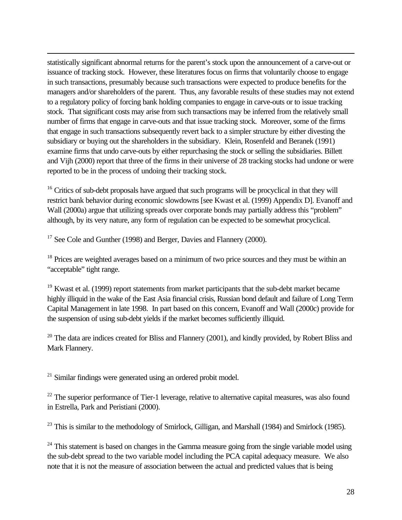statistically significant abnormal returns for the parent's stock upon the announcement of a carve-out or issuance of tracking stock. However, these literatures focus on firms that voluntarily choose to engage in such transactions, presumably because such transactions were expected to produce benefits for the managers and/or shareholders of the parent. Thus, any favorable results of these studies may not extend to a regulatory policy of forcing bank holding companies to engage in carve-outs or to issue tracking stock. That significant costs may arise from such transactions may be inferred from the relatively small number of firms that engage in carve-outs and that issue tracking stock. Moreover, some of the firms that engage in such transactions subsequently revert back to a simpler structure by either divesting the subsidiary or buying out the shareholders in the subsidiary. Klein, Rosenfeld and Beranek (1991) examine firms that undo carve-outs by either repurchasing the stock or selling the subsidiaries. Billett and Vijh (2000) report that three of the firms in their universe of 28 tracking stocks had undone or were reported to be in the process of undoing their tracking stock.

<sup>16</sup> Critics of sub-debt proposals have argued that such programs will be procyclical in that they will restrict bank behavior during economic slowdowns [see Kwast et al. (1999) Appendix D]. Evanoff and Wall (2000a) argue that utilizing spreads over corporate bonds may partially address this "problem" although, by its very nature, any form of regulation can be expected to be somewhat procyclical.

 $17$  See Cole and Gunther (1998) and Berger, Davies and Flannery (2000).

 $\overline{a}$ 

<sup>18</sup> Prices are weighted averages based on a minimum of two price sources and they must be within an "acceptable" tight range.

 $19$  Kwast et al. (1999) report statements from market participants that the sub-debt market became highly illiquid in the wake of the East Asia financial crisis, Russian bond default and failure of Long Term Capital Management in late 1998. In part based on this concern, Evanoff and Wall (2000c) provide for the suspension of using sub-debt yields if the market becomes sufficiently illiquid.

<sup>20</sup> The data are indices created for Bliss and Flannery (2001), and kindly provided, by Robert Bliss and Mark Flannery.

 $21$  Similar findings were generated using an ordered probit model.

<sup>22</sup> The superior performance of Tier-1 leverage, relative to alternative capital measures, was also found in Estrella, Park and Peristiani (2000).

<sup>23</sup> This is similar to the methodology of Smirlock, Gilligan, and Marshall (1984) and Smirlock (1985).

 $24$  This statement is based on changes in the Gamma measure going from the single variable model using the sub-debt spread to the two variable model including the PCA capital adequacy measure. We also note that it is not the measure of association between the actual and predicted values that is being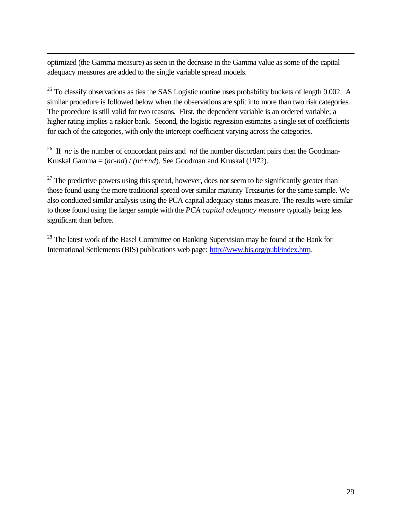optimized (the Gamma measure) as seen in the decrease in the Gamma value as some of the capital adequacy measures are added to the single variable spread models.

 $\overline{a}$ 

 $^{25}$  To classify observations as ties the SAS Logistic routine uses probability buckets of length 0.002. A similar procedure is followed below when the observations are split into more than two risk categories. The procedure is still valid for two reasons. First, the dependent variable is an ordered variable; a higher rating implies a riskier bank. Second, the logistic regression estimates a single set of coefficients for each of the categories, with only the intercept coefficient varying across the categories.

<sup>26</sup> If *nc* is the number of concordant pairs and *nd* the number discordant pairs then the Goodman-Kruskal Gamma = (*nc-nd*) / *(nc+nd*). See Goodman and Kruskal (1972).

 $27$  The predictive powers using this spread, however, does not seem to be significantly greater than those found using the more traditional spread over similar maturity Treasuries for the same sample. We also conducted similar analysis using the PCA capital adequacy status measure. The results were similar to those found using the larger sample with the *PCA capital adequacy measure* typically being less significant than before.

<sup>28</sup> The latest work of the Basel Committee on Banking Supervision may be found at the Bank for International Settlements (BIS) publications web page: http://www.bis.org/publ/index.htm.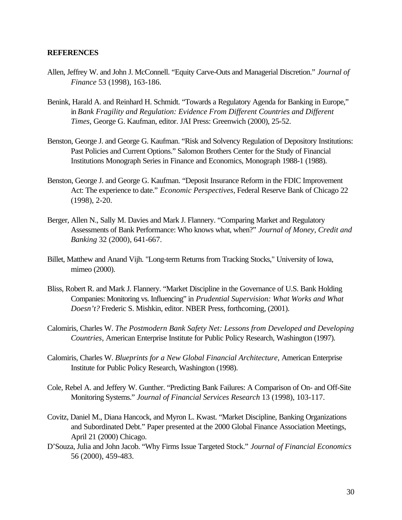#### **REFERENCES**

- Allen, Jeffrey W. and John J. McConnell. "Equity Carve-Outs and Managerial Discretion." *Journal of Finance* 53 (1998), 163-186.
- Benink, Harald A. and Reinhard H. Schmidt. "Towards a Regulatory Agenda for Banking in Europe," in *Bank Fragility and Regulation: Evidence From Different Countries and Different Times,* George G. Kaufman, editor. JAI Press: Greenwich (2000), 25-52.
- Benston, George J. and George G. Kaufman. "Risk and Solvency Regulation of Depository Institutions: Past Policies and Current Options." Salomon Brothers Center for the Study of Financial Institutions Monograph Series in Finance and Economics, Monograph 1988-1 (1988).
- Benston, George J. and George G. Kaufman. "Deposit Insurance Reform in the FDIC Improvement Act: The experience to date." *Economic Perspectives*, Federal Reserve Bank of Chicago 22 (1998), 2-20.
- Berger, Allen N., Sally M. Davies and Mark J. Flannery. "Comparing Market and Regulatory Assessments of Bank Performance: Who knows what, when?" *Journal of Money, Credit and Banking* 32 (2000), 641-667.
- Billet, Matthew and Anand Vijh. "Long-term Returns from Tracking Stocks," University of Iowa, mimeo (2000).
- Bliss, Robert R. and Mark J. Flannery. "Market Discipline in the Governance of U.S. Bank Holding Companies: Monitoring vs. Influencing" in *Prudential Supervision: What Works and What Doesn't?* Frederic S. Mishkin, editor. NBER Press, forthcoming, (2001).
- Calomiris, Charles W. *The Postmodern Bank Safety Net: Lessons from Developed and Developing Countries,* American Enterprise Institute for Public Policy Research, Washington (1997).
- Calomiris, Charles W. *Blueprints for a New Global Financial Architecture,* American Enterprise Institute for Public Policy Research, Washington (1998).
- Cole, Rebel A. and Jeffery W. Gunther. "Predicting Bank Failures: A Comparison of On- and Off-Site Monitoring Systems." *Journal of Financial Services Research* 13 (1998), 103-117.
- Covitz, Daniel M., Diana Hancock, and Myron L. Kwast. "Market Discipline, Banking Organizations and Subordinated Debt." Paper presented at the 2000 Global Finance Association Meetings, April 21 (2000) Chicago.
- D'Souza, Julia and John Jacob. "Why Firms Issue Targeted Stock." *Journal of Financial Economics* 56 (2000), 459-483.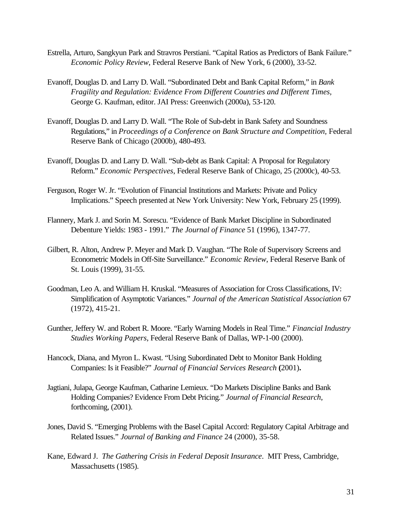- Estrella, Arturo, Sangkyun Park and Stravros Perstiani. "Capital Ratios as Predictors of Bank Failure." *Economic Policy Review*, Federal Reserve Bank of New York, 6 (2000), 33-52.
- Evanoff, Douglas D. and Larry D. Wall. "Subordinated Debt and Bank Capital Reform," in *Bank Fragility and Regulation: Evidence From Different Countries and Different Times,* George G. Kaufman, editor. JAI Press: Greenwich (2000a), 53-120.
- Evanoff, Douglas D. and Larry D. Wall. "The Role of Sub-debt in Bank Safety and Soundness Regulations," in *Proceedings of a Conference on Bank Structure and Competition,* Federal Reserve Bank of Chicago (2000b), 480-493*.*
- Evanoff, Douglas D. and Larry D. Wall. "Sub-debt as Bank Capital: A Proposal for Regulatory Reform." *Economic Perspectives*, Federal Reserve Bank of Chicago, 25 (2000c), 40-53.
- Ferguson, Roger W. Jr. "Evolution of Financial Institutions and Markets: Private and Policy Implications." Speech presented at New York University: New York, February 25 (1999).
- Flannery, Mark J. and Sorin M. Sorescu. "Evidence of Bank Market Discipline in Subordinated Debenture Yields: 1983 - 1991." *The Journal of Finance* 51 (1996), 1347-77.
- Gilbert, R. Alton, Andrew P. Meyer and Mark D. Vaughan. "The Role of Supervisory Screens and Econometric Models in Off-Site Surveillance." *Economic Review*, Federal Reserve Bank of St. Louis (1999), 31-55.
- Goodman, Leo A. and William H. Kruskal. "Measures of Association for Cross Classifications, IV: Simplification of Asymptotic Variances." *Journal of the American Statistical Association* 67 (1972), 415-21.
- Gunther, Jeffery W. and Robert R. Moore. "Early Warning Models in Real Time." *Financial Industry Studies Working Papers*, Federal Reserve Bank of Dallas, WP-1-00 (2000).
- Hancock, Diana, and Myron L. Kwast. "Using Subordinated Debt to Monitor Bank Holding Companies: Is it Feasible?" *Journal of Financial Services Research* **(**2001)**.**
- Jagtiani, Julapa, George Kaufman, Catharine Lemieux. "Do Markets Discipline Banks and Bank Holding Companies? Evidence From Debt Pricing." *Journal of Financial Research*, forthcoming, (2001).
- Jones, David S. "Emerging Problems with the Basel Capital Accord: Regulatory Capital Arbitrage and Related Issues." *Journal of Banking and Finance* 24 (2000), 35-58.
- Kane, Edward J. *The Gathering Crisis in Federal Deposit Insurance*. MIT Press, Cambridge, Massachusetts (1985).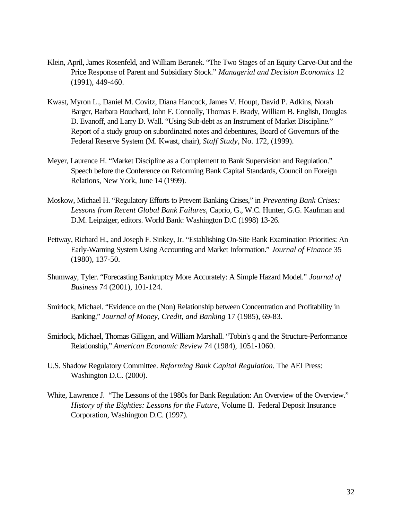- Klein, April, James Rosenfeld, and William Beranek. "The Two Stages of an Equity Carve-Out and the Price Response of Parent and Subsidiary Stock." *Managerial and Decision Economics* 12 (1991), 449-460.
- Kwast, Myron L., Daniel M. Covitz, Diana Hancock, James V. Houpt, David P. Adkins, Norah Barger, Barbara Bouchard, John F. Connolly, Thomas F. Brady, William B. English, Douglas D. Evanoff, and Larry D. Wall. "Using Sub-debt as an Instrument of Market Discipline." Report of a study group on subordinated notes and debentures, Board of Governors of the Federal Reserve System (M. Kwast, chair), *Staff Study*, No. 172, (1999).
- Meyer, Laurence H. "Market Discipline as a Complement to Bank Supervision and Regulation." Speech before the Conference on Reforming Bank Capital Standards, Council on Foreign Relations, New York, June 14 (1999).
- Moskow, Michael H. "Regulatory Efforts to Prevent Banking Crises," in *Preventing Bank Crises: Lessons from Recent Global Bank Failures,* Caprio, G., W.C. Hunter, G.G. Kaufman and D.M. Leipziger, editors. World Bank: Washington D.C (1998) 13-26.
- Pettway, Richard H., and Joseph F. Sinkey, Jr. "Establishing On-Site Bank Examination Priorities: An Early-Warning System Using Accounting and Market Information." *Journal of Finance* 35 (1980), 137-50.
- Shumway, Tyler. "Forecasting Bankruptcy More Accurately: A Simple Hazard Model." *Journal of Business* 74 (2001), 101-124.
- Smirlock, Michael. "Evidence on the (Non) Relationship between Concentration and Profitability in Banking," *Journal of Money, Credit, and Banking* 17 (1985), 69-83.
- Smirlock, Michael, Thomas Gilligan, and William Marshall. "Tobin's q and the Structure-Performance Relationship," *American Economic Review* 74 (1984), 1051-1060.
- U.S. Shadow Regulatory Committee. *Reforming Bank Capital Regulation.* The AEI Press: Washington D.C. (2000).
- White, Lawrence J. "The Lessons of the 1980s for Bank Regulation: An Overview of the Overview." *History of the Eighties: Lessons for the Future,* Volume II. Federal Deposit Insurance Corporation, Washington D.C. (1997).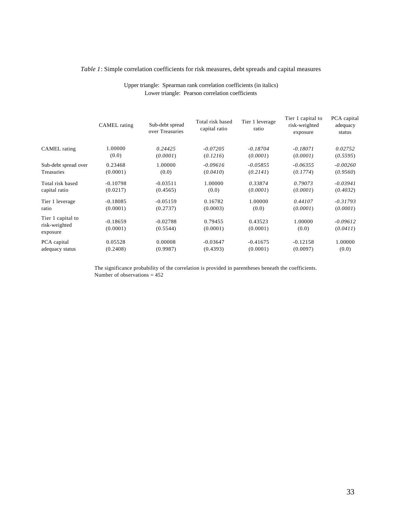#### *Table 1*: Simple correlation coefficients for risk measures, debt spreads and capital measures

|                           | CAMEL rating | Sub-debt spread<br>over Treasuries | Total risk based<br>capital ratio | Tier 1 leverage<br>ratio | Tier 1 capital to<br>risk-weighted<br>exposure | PCA capital<br>adequacy<br>status |
|---------------------------|--------------|------------------------------------|-----------------------------------|--------------------------|------------------------------------------------|-----------------------------------|
| CAMEL rating              | 1.00000      | 0.24425                            | $-0.07205$                        | $-0.18704$               | $-0.18071$                                     | 0.02752                           |
|                           | (0.0)        | (0.0001)                           | (0.1216)                          | (0.0001)                 | (0.0001)                                       | (0.5595)                          |
| Sub-debt spread over      | 0.23468      | 1.00000                            | $-0.09616$                        | $-0.05855$               | $-0.06355$                                     | $-0.00260$                        |
| Treasuries                | (0.0001)     | (0.0)                              | (0.0410)                          | (0.2141)                 | (0.1774)                                       | (0.9560)                          |
| Total risk based          | $-0.10798$   | $-0.03511$                         | 1.00000                           | 0.33874                  | 0.79073                                        | $-0.03941$                        |
| capital ratio             | (0.0217)     | (0.4565)                           | (0.0)                             | (0.0001)                 | (0.0001)                                       | (0.4032)                          |
| Tier 1 leverage           | $-0.18085$   | $-0.05159$                         | 0.16782                           | 1.00000                  | 0.44107                                        | $-0.31793$                        |
| ratio                     | (0.0001)     | (0.2737)                           | (0.0003)                          | (0.0)                    | (0.0001)                                       | (0.0001)                          |
| Tier 1 capital to         | $-0.18659$   | $-0.02788$                         | 0.79455                           | 0.43523                  | 1.00000                                        | $-0.09612$                        |
| risk-weighted<br>exposure | (0.0001)     | (0.5544)                           | (0.0001)                          | (0.0001)                 | (0.0)                                          | (0.0411)                          |
| PCA capital               | 0.05528      | 0.00008                            | $-0.03647$                        | $-0.41675$               | $-0.12158$                                     | 1.00000                           |
| adequacy status           | (0.2408)     | (0.9987)                           | (0.4393)                          | (0.0001)                 | (0.0097)                                       | (0.0)                             |
|                           |              |                                    |                                   |                          |                                                |                                   |

#### Upper triangle: Spearman rank correlation coefficients (in italics) Lower triangle: Pearson correlation coefficients

The significance probability of the correlation is provided in parentheses beneath the coefficients. Number of observations  $= 452$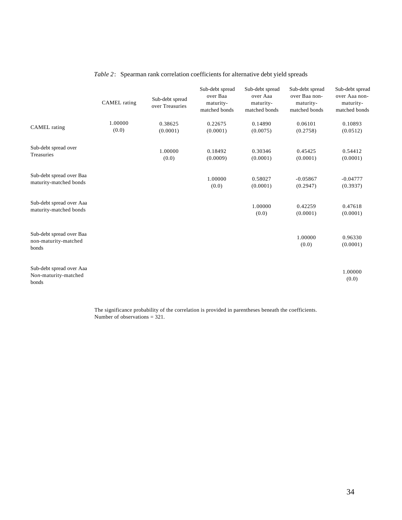|                                                           | CAMEL rating     | Sub-debt spread<br>over Treasuries | Sub-debt spread<br>over Baa<br>maturity-<br>matched bonds | Sub-debt spread<br>over Aaa<br>maturity-<br>matched bonds | Sub-debt spread<br>over Baa non-<br>maturity-<br>matched bonds | Sub-debt spread<br>over Aaa non-<br>maturity-<br>matched bonds |
|-----------------------------------------------------------|------------------|------------------------------------|-----------------------------------------------------------|-----------------------------------------------------------|----------------------------------------------------------------|----------------------------------------------------------------|
| <b>CAMEL</b> rating                                       | 1.00000<br>(0.0) | 0.38625<br>(0.0001)                | 0.22675<br>(0.0001)                                       | 0.14890<br>(0.0075)                                       | 0.06101<br>(0.2758)                                            | 0.10893<br>(0.0512)                                            |
| Sub-debt spread over<br>Treasuries                        |                  | 1.00000<br>(0.0)                   | 0.18492<br>(0.0009)                                       | 0.30346<br>(0.0001)                                       | 0.45425<br>(0.0001)                                            | 0.54412<br>(0.0001)                                            |
| Sub-debt spread over Baa<br>maturity-matched bonds        |                  |                                    | 1.00000<br>(0.0)                                          | 0.58027<br>(0.0001)                                       | $-0.05867$<br>(0.2947)                                         | $-0.04777$<br>(0.3937)                                         |
| Sub-debt spread over Aaa<br>maturity-matched bonds        |                  |                                    |                                                           | 1.00000<br>(0.0)                                          | 0.42259<br>(0.0001)                                            | 0.47618<br>(0.0001)                                            |
| Sub-debt spread over Baa<br>non-maturity-matched<br>bonds |                  |                                    |                                                           |                                                           | 1.00000<br>(0.0)                                               | 0.96330<br>(0.0001)                                            |
| Sub-debt spread over Aaa<br>Non-maturity-matched<br>bonds |                  |                                    |                                                           |                                                           |                                                                | 1.00000<br>(0.0)                                               |

#### *Table 2*: Spearman rank correlation coefficients for alternative debt yield spreads

The significance probability of the correlation is provided in parentheses beneath the coefficients. Number of observations  $=$  321.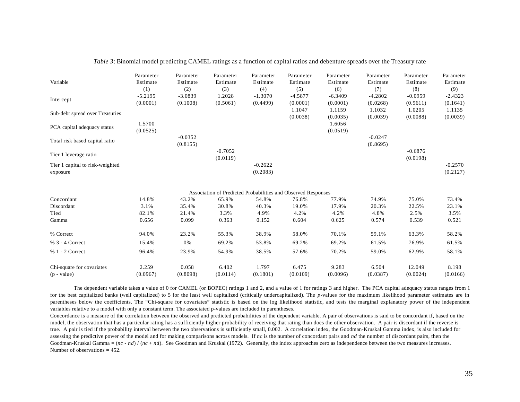| Variable                                    | Parameter<br>Estimate<br>(1) | Parameter<br>Estimate<br>(2) | Parameter<br>Estimate<br>(3) | Parameter<br>Estimate<br>(4) | Parameter<br>Estimate<br>(5) | Parameter<br>Estimate<br>(6) | Parameter<br>Estimate<br>(7) | Parameter<br>Estimate<br>(8) | Parameter<br>Estimate<br>(9) |
|---------------------------------------------|------------------------------|------------------------------|------------------------------|------------------------------|------------------------------|------------------------------|------------------------------|------------------------------|------------------------------|
| Intercept                                   | $-5.2195$<br>(0.0001)        | $-3.0839$<br>(0.1008)        | 1.2028<br>(0.5061)           | $-1.3070$<br>(0.4499)        | $-4.5877$<br>(0.0001)        | $-6.3409$<br>(0.0001)        | $-4.2802$<br>(0.0268)        | $-0.0959$<br>(0.9611)        | $-2.4323$<br>(0.1641)        |
| Sub-debt spread over Treasuries             |                              |                              |                              |                              | 1.1047<br>(0.0038)           | 1.1159<br>(0.0035)           | 1.1032<br>(0.0039)           | 1.0205<br>(0.0088)           | 1.1135<br>(0.0039)           |
| PCA capital adequacy status                 | 1.5700<br>(0.0525)           |                              |                              |                              |                              | 1.6056<br>(0.0519)           |                              |                              |                              |
| Total risk based capital ratio              |                              | $-0.0352$<br>(0.8155)        |                              |                              |                              |                              | $-0.0247$<br>(0.8695)        |                              |                              |
| Tier 1 leverage ratio                       |                              |                              | $-0.7052$<br>(0.0119)        |                              |                              |                              |                              | $-0.6876$<br>(0.0198)        |                              |
| Tier 1 capital to risk-weighted<br>exposure |                              |                              |                              | $-0.2622$<br>(0.2083)        |                              |                              |                              |                              | $-0.2570$<br>(0.2127)        |

#### *Table 3*: Binomial model predicting CAMEL ratings as a function of capital ratios and debenture spreads over the Treasury rate

| Association of Predicted Probabilities and Observed Responses |                   |                   |                   |                   |                   |                   |                   |                    |                   |  |
|---------------------------------------------------------------|-------------------|-------------------|-------------------|-------------------|-------------------|-------------------|-------------------|--------------------|-------------------|--|
| Concordant                                                    | 14.8%             | 43.2%             | 65.9%             | 54.8%             | 76.8%             | 77.9%             | 74.9%             | 75.0%              | 73.4%             |  |
| Discordant                                                    | 3.1%              | 35.4%             | 30.8%             | 40.3%             | 19.0%             | 17.9%             | 20.3%             | 22.5%              | 23.1%             |  |
| Tied                                                          | 82.1%             | 21.4%             | 3.3%              | 4.9%              | 4.2%              | 4.2%              | 4.8%              | 2.5%               | 3.5%              |  |
| Gamma                                                         | 0.656             | 0.099             | 0.363             | 0.152             | 0.604             | 0.625             | 0.574             | 0.539              | 0.521             |  |
| % Correct                                                     | 94.0%             | 23.2%             | 55.3%             | 38.9%             | 58.0%             | 70.1%             | 59.1%             | 63.3%              | 58.2%             |  |
| % 3 - 4 Correct                                               | 15.4%             | 0%                | 69.2%             | 53.8%             | 69.2%             | 69.2%             | 61.5%             | 76.9%              | 61.5%             |  |
| $% 1 - 2$ Correct                                             | 96.4%             | 23.9%             | 54.9%             | 38.5%             | 57.6%             | 70.2%             | 59.0%             | 62.9%              | 58.1%             |  |
| Chi-square for covariates<br>$(p - value)$                    | 2.259<br>(0.0967) | 0.058<br>(0.8098) | 6.402<br>(0.0114) | 1.797<br>(0.1801) | 6.475<br>(0.0109) | 9.283<br>(0.0096) | 6.504<br>(0.0387) | 12.049<br>(0.0024) | 8.198<br>(0.0166) |  |

Association of Predicted Probabilities and Observed Responses

The dependent variable takes a value of 0 for CAMEL (or BOPEC) ratings 1 and 2, and a value of 1 for ratings 3 and higher. The PCA capital adequacy status ranges from 1 for the best capitalized banks (well capitalized) to 5 for the least well capitalized (critically undercapitalized). The *p*-values for the maximum likelihood parameter estimates are in parentheses below the coefficients. The "Chi-square for covariates" statistic is based on the log likelihood statistic, and tests the marginal explanatory power of the independent variables relative to a model with only a constant term. The associated p-values are included in parentheses.

Concordance is a measure of the correlation between the observed and predicted probabilities of the dependent variable. A pair of observations is said to be concordant if, based on the model, the observation that has a particular rating has a sufficiently higher probability of receiving that rating than does the other observation. A pair is discordant if the reverse is true. A pair is tied if the probability interval between the two observations is sufficiently small, 0.002. A correlation index, the Goodman-Kruskal Gamma index, is also included for assessing the predictive power of the model and for making comparisons across models. If *nc* is the number of concordant pairs and *nd* the number of discordant pairs, then the Goodman-Kruskal Gamma =  $(nc - nd) / (nc + nd)$ . See Goodman and Kruskal (1972). Generally, the index approaches zero as independence between the two measures increases. Number of observations = 452.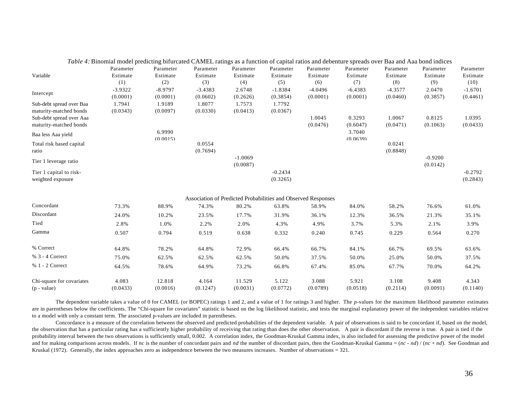|                                              | Table 4: Binomial model predicting bifurcated CAMEL ratings as a function of capital ratios and debenture spreads over Baa and Aaa bond indices<br>Parameter | Parameter             | Parameter                                                     | Parameter          | Parameter             | Parameter             | Parameter             | Parameter             | Parameter          | Parameter             |
|----------------------------------------------|--------------------------------------------------------------------------------------------------------------------------------------------------------------|-----------------------|---------------------------------------------------------------|--------------------|-----------------------|-----------------------|-----------------------|-----------------------|--------------------|-----------------------|
| Variable                                     | Estimate                                                                                                                                                     | Estimate              | Estimate                                                      | Estimate           | Estimate              | Estimate              | Estimate              | Estimate              | Estimate           | Estimate              |
|                                              | (1)                                                                                                                                                          | (2)                   | (3)                                                           | (4)                | (5)                   | (6)                   | (7)                   | (8)                   | (9)                | (10)                  |
| Intercept                                    | $-3.9322$<br>(0.0001)                                                                                                                                        | $-8.9797$<br>(0.0001) | $-3.4383$<br>(0.0602)                                         | 2.6748<br>(0.2626) | $-1.8384$<br>(0.3854) | $-4.0496$<br>(0.0001) | $-6.4383$<br>(0.0001) | $-4.3577$<br>(0.0460) | 2.0470<br>(0.3857) | $-1.6701$<br>(0.4461) |
| Sub-debt spread over Baa                     | 1.7941                                                                                                                                                       | 1.9189                | 1.8077                                                        | 1.7573             | 1.7792                |                       |                       |                       |                    |                       |
| maturity-matched bonds                       | (0.0343)                                                                                                                                                     | (0.0097)              | (0.0330)                                                      | (0.0413)           | (0.0367)              |                       |                       |                       |                    |                       |
| Sub-debt spread over Aaa                     |                                                                                                                                                              |                       |                                                               |                    |                       | 1.0045                | 0.3293                | 1.0067                | 0.8125             | 1.0395                |
| maturity-matched bonds                       |                                                                                                                                                              |                       |                                                               |                    |                       | (0.0476)              | (0.6047)              | (0.0471)              | (0.1063)           | (0.0433)              |
| Baa less Aaa yield                           |                                                                                                                                                              | 6.9990<br>(0.0015)    |                                                               |                    |                       |                       | 3.7040<br>(0.0639)    |                       |                    |                       |
| Total risk based capital                     |                                                                                                                                                              |                       | 0.0554                                                        |                    |                       |                       |                       | 0.0241                |                    |                       |
| ratio                                        |                                                                                                                                                              |                       | (0.7694)                                                      |                    |                       |                       |                       | (0.8848)              |                    |                       |
| Tier 1 leverage ratio                        |                                                                                                                                                              |                       |                                                               | $-1.0069$          |                       |                       |                       |                       | $-0.9200$          |                       |
|                                              |                                                                                                                                                              |                       |                                                               | (0.0087)           |                       |                       |                       |                       | (0.0142)           |                       |
| Tier 1 capital to risk-<br>weighted exposure |                                                                                                                                                              |                       |                                                               |                    | $-0.2434$<br>(0.3265) |                       |                       |                       |                    | $-0.2792$<br>(0.2843) |
|                                              |                                                                                                                                                              |                       |                                                               |                    |                       |                       |                       |                       |                    |                       |
|                                              |                                                                                                                                                              |                       | Association of Predicted Probabilities and Observed Responses |                    |                       |                       |                       |                       |                    |                       |
| Concordant                                   | 73.3%                                                                                                                                                        | 88.9%                 | 74.3%                                                         | 80.2%              | 63.8%                 | 58.9%                 | 84.0%                 | 58.2%                 | 76.6%              | 61.0%                 |
| Discordant                                   | 24.0%                                                                                                                                                        | 10.2%                 | 23.5%                                                         | 17.7%              | 31.9%                 | 36.1%                 | 12.3%                 | 36.5%                 | 21.3%              | 35.1%                 |
| Tied                                         | 2.8%                                                                                                                                                         | 1.0%                  | 2.2%                                                          | 2.0%               | 4.3%                  | 4.9%                  | 3.7%                  | 5.3%                  | 2.1%               | 3.9%                  |
| Gamma                                        | 0.507                                                                                                                                                        | 0.794                 | 0.519                                                         | 0.638              | 0.332                 | 0.240                 | 0.745                 | 0.229                 | 0.564              | 0.270                 |
| % Correct                                    | 64.8%                                                                                                                                                        | 78.2%                 | 64.8%                                                         | 72.9%              | 66.4%                 | 66.7%                 | 84.1%                 | 66.7%                 | 69.5%              | 63.6%                 |
| % 3 - 4 Correct                              | 75.0%                                                                                                                                                        | 62.5%                 | 62.5%                                                         | 62.5%              | 50.0%                 | 37.5%                 | 50.0%                 | 25.0%                 | 50.0%              | 37.5%                 |
| % 1 - 2 Correct                              | 64.5%                                                                                                                                                        | 78.6%                 | 64.9%                                                         | 73.2%              | 66.8%                 | 67.4%                 | 85.0%                 | 67.7%                 | 70.0%              | 64.2%                 |
| Chi-square for covariates                    | 4.083                                                                                                                                                        | 12.818                | 4.164                                                         | 11.529             | 5.122                 | 3.088                 | 5.921                 | 3.108                 | 9.408              | 4.343                 |
| $(p - value)$                                | (0.0433)                                                                                                                                                     | (0.0016)              | (0.1247)                                                      | (0.0031)           | (0.0772)              | (0.0789)              | (0.0518)              | (0.2114)              | (0.0091)           | (0.1140)              |

*Table 4:* Binomial model predicting bifurcated CAMEL ratings as a function of capital ratios and debenture spreads over Baa and Aaa bond indices

The dependent variable takes a value of 0 for CAMEL (or BOPEC) ratings 1 and 2, and a value of 1 for ratings 3 and higher. The *p*-values for the maximum likelihood parameter estimates are in parentheses below the coefficients. The "Chi-square for covariates" statistic is based on the log likelihood statistic, and tests the marginal explanatory power of the independent variables relative to a model with only a constant term. The associated p-values are included in parentheses.

Concordance is a measure of the correlation between the observed and predicted probabilities of the dependent variable. A pair of observations is said to be concordant if, based on the model, the observation that has a particular rating has a sufficiently higher probability of receiving that rating than does the other observation. A pair is discordant if the reverse is true. A pair is tied if the probability interval between the two observations is sufficiently small, 0.002. A correlation index, the Goodman-Kruskal Gamma index, is also included for assessing the predictive power of the model and for making comparisons across models. If nc is the number of concordant pairs and nd the number of discordant pairs, then the Goodman-Kruskal Gamma =  $(ac - nd) / (nc + nd)$ . See Goodman and Kruskal (1972). Generally, the index approaches zero as independence between the two measures increases. Number of observations = 321.